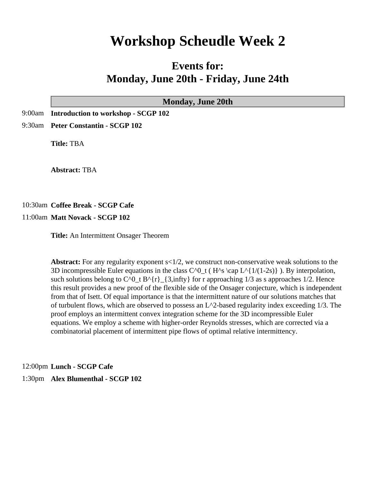# **Workshop Scheudle Week 2**

# **Events for: Monday, June 20th - Friday, June 24th**

| <b>Monday, June 20th</b>                                           |
|--------------------------------------------------------------------|
| 9:00am Introduction to workshop - SCGP 102                         |
| 9:30am Peter Constantin - SCGP 102                                 |
| <b>Title: TBA</b>                                                  |
| <b>Abstract: TBA</b>                                               |
| 10:30am Coffee Break - SCGP Cafe<br>11:00am Matt Novack - SCGP 102 |
| Title: An Intermittent Onsager Theorem                             |

**Abstract:** For any regularity exponent s<1/2, we construct non-conservative weak solutions to the 3D incompressible Euler equations in the class  $C^0_t$  (H<sup> $\alpha$ </sup>s \cap L^{1/(1-2s)} ). By interpolation, such solutions belong to  $C^0_t B^{\prime}$   $[3, \infty)$  for r approaching 1/3 as s approaches 1/2. Hence this result provides a new proof of the flexible side of the Onsager conjecture, which is independent from that of Isett. Of equal importance is that the intermittent nature of our solutions matches that of turbulent flows, which are observed to possess an L^2-based regularity index exceeding 1/3. The proof employs an intermittent convex integration scheme for the 3D incompressible Euler equations. We employ a scheme with higher-order Reynolds stresses, which are corrected via a combinatorial placement of intermittent pipe flows of optimal relative intermittency.

12:00pm **Lunch - SCGP Cafe** 1:30pm **Alex Blumenthal - SCGP 102**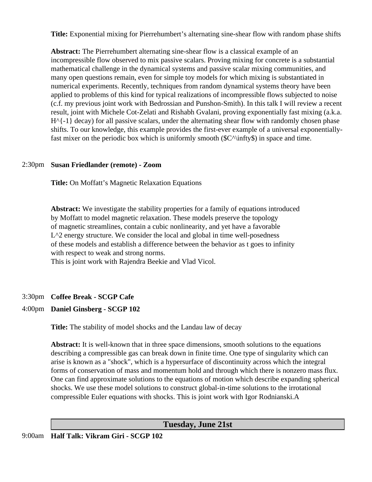**Title:** Exponential mixing for Pierrehumbert's alternating sine-shear flow with random phase shifts

**Abstract:** The Pierrehumbert alternating sine-shear flow is a classical example of an incompressible flow observed to mix passive scalars. Proving mixing for concrete is a substantial mathematical challenge in the dynamical systems and passive scalar mixing communities, and many open questions remain, even for simple toy models for which mixing is substantiated in numerical experiments. Recently, techniques from random dynamical systems theory have been applied to problems of this kind for typical realizations of incompressible flows subjected to noise (c.f. my previous joint work with Bedrossian and Punshon-Smith). In this talk I will review a recent result, joint with Michele Cot-Zelati and Rishabh Gvalani, proving exponentially fast mixing (a.k.a.  $H^{\wedge}$ {-1} decay) for all passive scalars, under the alternating shear flow with randomly chosen phase shifts. To our knowledge, this example provides the first-ever example of a universal exponentiallyfast mixer on the periodic box which is uniformly smooth ( $C^\prime\in\$ infty\$) in space and time.

# 2:30pm **Susan Friedlander (remote) - Zoom**

**Title:** On Moffatt's Magnetic Relaxation Equations

**Abstract:** We investigate the stability properties for a family of equations introduced by Moffatt to model magnetic relaxation. These models preserve the topology of magnetic streamlines, contain a cubic nonlinearity, and yet have a favorable  $L^2$  energy structure. We consider the local and global in time well-posedness of these models and establish a difference between the behavior as t goes to infinity with respect to weak and strong norms.

This is joint work with Rajendra Beekie and Vlad Vicol.

# 3:30pm **Coffee Break - SCGP Cafe**

# 4:00pm **Daniel Ginsberg - SCGP 102**

**Title:** The stability of model shocks and the Landau law of decay

**Abstract:** It is well-known that in three space dimensions, smooth solutions to the equations describing a compressible gas can break down in finite time. One type of singularity which can arise is known as a "shock", which is a hypersurface of discontinuity across which the integral forms of conservation of mass and momentum hold and through which there is nonzero mass flux. One can find approximate solutions to the equations of motion which describe expanding spherical shocks. We use these model solutions to construct global-in-time solutions to the irrotational compressible Euler equations with shocks. This is joint work with Igor Rodnianski.A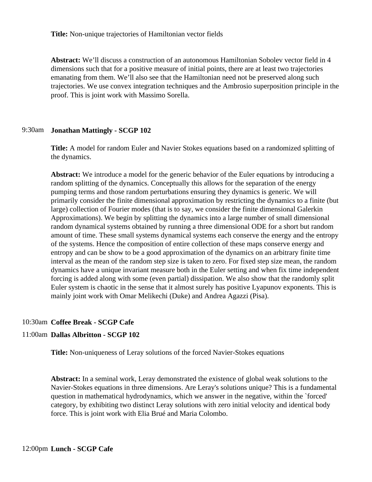**Title:** Non-unique trajectories of Hamiltonian vector fields

**Abstract:** We'll discuss a construction of an autonomous Hamiltonian Sobolev vector field in 4 dimensions such that for a positive measure of initial points, there are at least two trajectories emanating from them. We'll also see that the Hamiltonian need not be preserved along such trajectories. We use convex integration techniques and the Ambrosio superposition principle in the proof. This is joint work with Massimo Sorella.

#### 9:30am **Jonathan Mattingly - SCGP 102**

**Title:** A model for random Euler and Navier Stokes equations based on a randomized splitting of the dynamics.

**Abstract:** We introduce a model for the generic behavior of the Euler equations by introducing a random splitting of the dynamics. Conceptually this allows for the separation of the energy pumping terms and those random perturbations ensuring they dynamics is generic. We will primarily consider the finite dimensional approximation by restricting the dynamics to a finite (but large) collection of Fourier modes (that is to say, we consider the finite dimensional Galerkin Approximations). We begin by splitting the dynamics into a large number of small dimensional random dynamical systems obtained by running a three dimensional ODE for a short but random amount of time. These small systems dynamical systems each conserve the energy and the entropy of the systems. Hence the composition of entire collection of these maps conserve energy and entropy and can be show to be a good approximation of the dynamics on an arbitrary finite time interval as the mean of the random step size is taken to zero. For fixed step size mean, the random dynamics have a unique invariant measure both in the Euler setting and when fix time independent forcing is added along with some (even partial) dissipation. We also show that the randomly split Euler system is chaotic in the sense that it almost surely has positive Lyapunov exponents. This is mainly joint work with Omar Melikechi (Duke) and Andrea Agazzi (Pisa).

# 10:30am **Coffee Break - SCGP Cafe**

# 11:00am **Dallas Albritton - SCGP 102**

**Title:** Non-uniqueness of Leray solutions of the forced Navier-Stokes equations

**Abstract:** In a seminal work, Leray demonstrated the existence of global weak solutions to the Navier-Stokes equations in three dimensions. Are Leray's solutions unique? This is a fundamental question in mathematical hydrodynamics, which we answer in the negative, within the `forced' category, by exhibiting two distinct Leray solutions with zero initial velocity and identical body force. This is joint work with Elia Brué and Maria Colombo.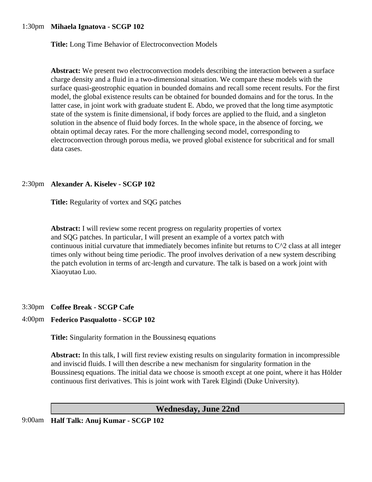# 1:30pm **Mihaela Ignatova - SCGP 102**

**Title:** Long Time Behavior of Electroconvection Models

**Abstract:** We present two electroconvection models describing the interaction between a surface charge density and a fluid in a two-dimensional situation. We compare these models with the surface quasi-geostrophic equation in bounded domains and recall some recent results. For the first model, the global existence results can be obtained for bounded domains and for the torus. In the latter case, in joint work with graduate student E. Abdo, we proved that the long time asymptotic state of the system is finite dimensional, if body forces are applied to the fluid, and a singleton solution in the absence of fluid body forces. In the whole space, in the absence of forcing, we obtain optimal decay rates. For the more challenging second model, corresponding to electroconvection through porous media, we proved global existence for subcritical and for small data cases.

#### 2:30pm **Alexander A. Kiselev - SCGP 102**

**Title:** Regularity of vortex and SQG patches

**Abstract:** I will review some recent progress on regularity properties of vortex and SQG patches. In particular, I will present an example of a vortex patch with continuous initial curvature that immediately becomes infinite but returns to  $C^2$  class at all integer times only without being time periodic. The proof involves derivation of a new system describing the patch evolution in terms of arc-length and curvature. The talk is based on a work joint with Xiaoyutao Luo.

# 3:30pm **Coffee Break - SCGP Cafe**

# 4:00pm **Federico Pasqualotto - SCGP 102**

**Title:** Singularity formation in the Boussinesq equations

**Abstract:** In this talk, I will first review existing results on singularity formation in incompressible and inviscid fluids. I will then describe a new mechanism for singularity formation in the Boussinesq equations. The initial data we choose is smooth except at one point, where it has Hölder continuous first derivatives. This is joint work with Tarek Elgindi (Duke University).

# **Wednesday, June 22nd**

9:00am **Half Talk: Anuj Kumar - SCGP 102**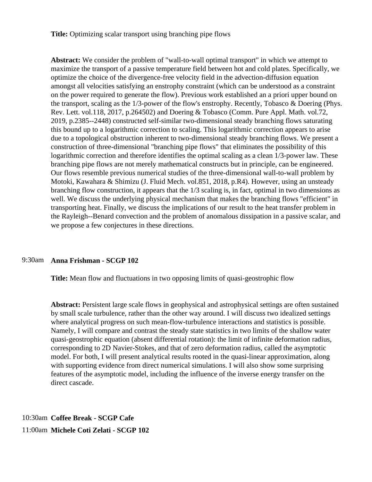**Title:** Optimizing scalar transport using branching pipe flows

**Abstract:** We consider the problem of "wall-to-wall optimal transport" in which we attempt to maximize the transport of a passive temperature field between hot and cold plates. Specifically, we optimize the choice of the divergence-free velocity field in the advection-diffusion equation amongst all velocities satisfying an enstrophy constraint (which can be understood as a constraint on the power required to generate the flow). Previous work established an a priori upper bound on the transport, scaling as the 1/3-power of the flow's enstrophy. Recently, Tobasco & Doering (Phys. Rev. Lett. vol.118, 2017, p.264502) and Doering & Tobasco (Comm. Pure Appl. Math. vol.72, 2019, p.2385--2448) constructed self-similar two-dimensional steady branching flows saturating this bound up to a logarithmic correction to scaling. This logarithmic correction appears to arise due to a topological obstruction inherent to two-dimensional steady branching flows. We present a construction of three-dimensional "branching pipe flows" that eliminates the possibility of this logarithmic correction and therefore identifies the optimal scaling as a clean 1/3-power law. These branching pipe flows are not merely mathematical constructs but in principle, can be engineered. Our flows resemble previous numerical studies of the three-dimensional wall-to-wall problem by Motoki, Kawahara & Shimizu (J. Fluid Mech. vol.851, 2018, p.R4). However, using an unsteady branching flow construction, it appears that the 1/3 scaling is, in fact, optimal in two dimensions as well. We discuss the underlying physical mechanism that makes the branching flows "efficient" in transporting heat. Finally, we discuss the implications of our result to the heat transfer problem in the Rayleigh--Benard convection and the problem of anomalous dissipation in a passive scalar, and we propose a few conjectures in these directions.

#### 9:30am **Anna Frishman - SCGP 102**

**Title:** Mean flow and fluctuations in two opposing limits of quasi-geostrophic flow

**Abstract:** Persistent large scale flows in geophysical and astrophysical settings are often sustained by small scale turbulence, rather than the other way around. I will discuss two idealized settings where analytical progress on such mean-flow-turbulence interactions and statistics is possible. Namely, I will compare and contrast the steady state statistics in two limits of the shallow water quasi-geostrophic equation (absent differential rotation): the limit of infinite deformation radius, corresponding to 2D Navier-Stokes, and that of zero deformation radius, called the asymptotic model. For both, I will present analytical results rooted in the quasi-linear approximation, along with supporting evidence from direct numerical simulations. I will also show some surprising features of the asymptotic model, including the influence of the inverse energy transfer on the direct cascade.

10:30am **Coffee Break - SCGP Cafe** 11:00am **Michele Coti Zelati - SCGP 102**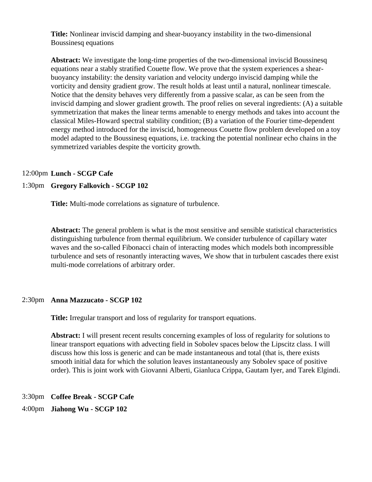**Title:** Nonlinear inviscid damping and shear-buoyancy instability in the two-dimensional Boussinesq equations

**Abstract:** We investigate the long-time properties of the two-dimensional inviscid Boussinesq equations near a stably stratified Couette flow. We prove that the system experiences a shearbuoyancy instability: the density variation and velocity undergo inviscid damping while the vorticity and density gradient grow. The result holds at least until a natural, nonlinear timescale. Notice that the density behaves very differently from a passive scalar, as can be seen from the inviscid damping and slower gradient growth. The proof relies on several ingredients: (A) a suitable symmetrization that makes the linear terms amenable to energy methods and takes into account the classical Miles-Howard spectral stability condition; (B) a variation of the Fourier time-dependent energy method introduced for the inviscid, homogeneous Couette flow problem developed on a toy model adapted to the Boussinesq equations, i.e. tracking the potential nonlinear echo chains in the symmetrized variables despite the vorticity growth.

#### 12:00pm **Lunch - SCGP Cafe**

# 1:30pm **Gregory Falkovich - SCGP 102**

**Title:** Multi-mode correlations as signature of turbulence.

**Abstract:** The general problem is what is the most sensitive and sensible statistical characteristics distinguishing turbulence from thermal equilibrium. We consider turbulence of capillary water waves and the so-called Fibonacci chain of interacting modes which models both incompressible turbulence and sets of resonantly interacting waves, We show that in turbulent cascades there exist multi-mode correlations of arbitrary order.

# 2:30pm **Anna Mazzucato - SCGP 102**

**Title:** Irregular transport and loss of regularity for transport equations.

**Abstract:** I will present recent results concerning examples of loss of regularity for solutions to linear transport equations with advecting field in Sobolev spaces below the Lipscitz class. I will discuss how this loss is generic and can be made instantaneous and total (that is, there exists smooth initial data for which the solution leaves instantaneously any Sobolev space of positive order). This is joint work with Giovanni Alberti, Gianluca Crippa, Gautam Iyer, and Tarek Elgindi.

3:30pm **Coffee Break - SCGP Cafe**

4:00pm **Jiahong Wu - SCGP 102**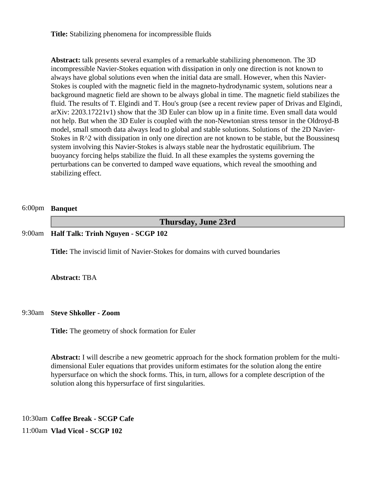**Title:** Stabilizing phenomena for incompressible fluids

**Abstract:** talk presents several examples of a remarkable stabilizing phenomenon. The 3D incompressible Navier-Stokes equation with dissipation in only one direction is not known to always have global solutions even when the initial data are small. However, when this Navier-Stokes is coupled with the magnetic field in the magneto-hydrodynamic system, solutions near a background magnetic field are shown to be always global in time. The magnetic field stabilizes the fluid. The results of T. Elgindi and T. Hou's group (see a recent review paper of Drivas and Elgindi, arXiv: 2203.17221v1) show that the 3D Euler can blow up in a finite time. Even small data would not help. But when the 3D Euler is coupled with the non-Newtonian stress tensor in the Oldroyd-B model, small smooth data always lead to global and stable solutions. Solutions of the 2D Navier-Stokes in R<sup>^2</sup> with dissipation in only one direction are not known to be stable, but the Boussinesq system involving this Navier-Stokes is always stable near the hydrostatic equilibrium. The buoyancy forcing helps stabilize the fluid. In all these examples the systems governing the perturbations can be converted to damped wave equations, which reveal the smoothing and stabilizing effect.

#### 6:00pm **Banquet**

**Thursday, June 23rd**

#### 9:00am **Half Talk: Trinh Nguyen - SCGP 102**

**Title:** The inviscid limit of Navier-Stokes for domains with curved boundaries

#### **Abstract:** TBA

#### 9:30am **Steve Shkoller - Zoom**

**Title:** The geometry of shock formation for Euler

**Abstract:** I will describe a new geometric approach for the shock formation problem for the multidimensional Euler equations that provides uniform estimates for the solution along the entire hypersurface on which the shock forms. This, in turn, allows for a complete description of the solution along this hypersurface of first singularities.

10:30am **Coffee Break - SCGP Cafe** 11:00am **Vlad Vicol - SCGP 102**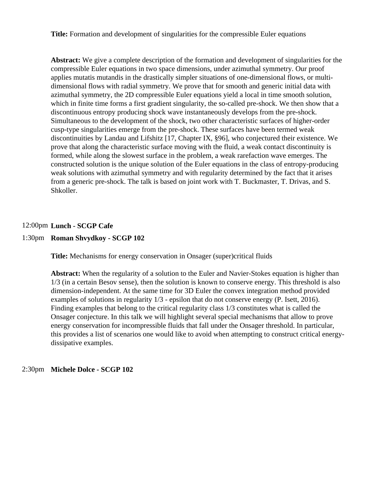**Title:** Formation and development of singularities for the compressible Euler equations

**Abstract:** We give a complete description of the formation and development of singularities for the compressible Euler equations in two space dimensions, under azimuthal symmetry. Our proof applies mutatis mutandis in the drastically simpler situations of one-dimensional flows, or multidimensional flows with radial symmetry. We prove that for smooth and generic initial data with azimuthal symmetry, the 2D compressible Euler equations yield a local in time smooth solution, which in finite time forms a first gradient singularity, the so-called pre-shock. We then show that a discontinuous entropy producing shock wave instantaneously develops from the pre-shock. Simultaneous to the development of the shock, two other characteristic surfaces of higher-order cusp-type singularities emerge from the pre-shock. These surfaces have been termed weak discontinuities by Landau and Lifshitz [17, Chapter IX, §96], who conjectured their existence. We prove that along the characteristic surface moving with the fluid, a weak contact discontinuity is formed, while along the slowest surface in the problem, a weak rarefaction wave emerges. The constructed solution is the unique solution of the Euler equations in the class of entropy-producing weak solutions with azimuthal symmetry and with regularity determined by the fact that it arises from a generic pre-shock. The talk is based on joint work with T. Buckmaster, T. Drivas, and S. Shkoller.

#### 12:00pm **Lunch - SCGP Cafe**

#### 1:30pm **Roman Shvydkoy - SCGP 102**

**Title:** Mechanisms for energy conservation in Onsager (super)critical fluids

**Abstract:** When the regularity of a solution to the Euler and Navier-Stokes equation is higher than 1/3 (in a certain Besov sense), then the solution is known to conserve energy. This threshold is also dimension-independent. At the same time for 3D Euler the convex integration method provided examples of solutions in regularity 1/3 - epsilon that do not conserve energy (P. Isett, 2016). Finding examples that belong to the critical regularity class 1/3 constitutes what is called the Onsager conjecture. In this talk we will highlight several special mechanisms that allow to prove energy conservation for incompressible fluids that fall under the Onsager threshold. In particular, this provides a list of scenarios one would like to avoid when attempting to construct critical energydissipative examples.

#### 2:30pm **Michele Dolce - SCGP 102**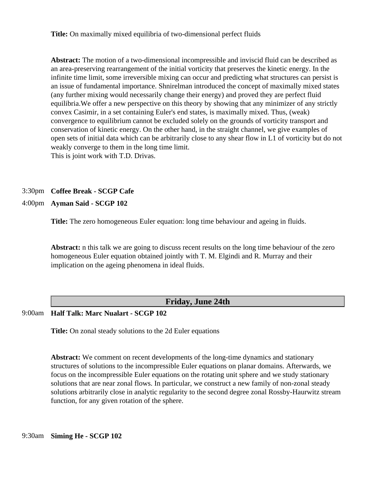**Title:** On maximally mixed equilibria of two-dimensional perfect fluids

**Abstract:** The motion of a two-dimensional incompressible and inviscid fluid can be described as an area-preserving rearrangement of the initial vorticity that preserves the kinetic energy. In the infinite time limit, some irreversible mixing can occur and predicting what structures can persist is an issue of fundamental importance. Shnirelman introduced the concept of maximally mixed states (any further mixing would necessarily change their energy) and proved they are perfect fluid equilibria.We offer a new perspective on this theory by showing that any minimizer of any strictly convex Casimir, in a set containing Euler's end states, is maximally mixed. Thus, (weak) convergence to equilibrium cannot be excluded solely on the grounds of vorticity transport and conservation of kinetic energy. On the other hand, in the straight channel, we give examples of open sets of initial data which can be arbitrarily close to any shear flow in L1 of vorticity but do not weakly converge to them in the long time limit. This is joint work with T.D. Drivas.

# 3:30pm **Coffee Break - SCGP Cafe**

4:00pm **Ayman Said - SCGP 102**

**Title:** The zero homogeneous Euler equation: long time behaviour and ageing in fluids.

**Abstract:** n this talk we are going to discuss recent results on the long time behaviour of the zero homogeneous Euler equation obtained jointly with T. M. Elgindi and R. Murray and their implication on the ageing phenomena in ideal fluids.

# **Friday, June 24th**

9:00am **Half Talk: Marc Nualart - SCGP 102**

**Title:** On zonal steady solutions to the 2d Euler equations

**Abstract:** We comment on recent developments of the long-time dynamics and stationary structures of solutions to the incompressible Euler equations on planar domains. Afterwards, we focus on the incompressible Euler equations on the rotating unit sphere and we study stationary solutions that are near zonal flows. In particular, we construct a new family of non-zonal steady solutions arbitrarily close in analytic regularity to the second degree zonal Rossby-Haurwitz stream function, for any given rotation of the sphere.